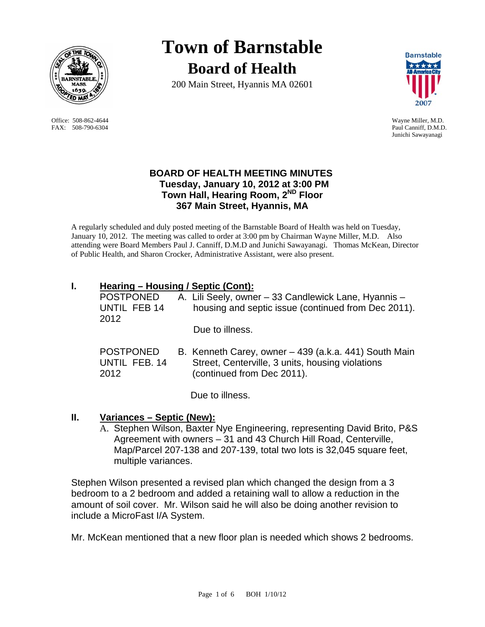

 Office: 508-862-4644 Wayne Miller, M.D. FAX: 508-790-6304 Paul Canniff, D.M.D.

# **Town of Barnstable Board of Health**

200 Main Street, Hyannis MA 02601



Junichi Sawayanagi

## **BOARD OF HEALTH MEETING MINUTES Tuesday, January 10, 2012 at 3:00 PM Town Hall, Hearing Room, 2ND Floor 367 Main Street, Hyannis, MA**

A regularly scheduled and duly posted meeting of the Barnstable Board of Health was held on Tuesday, January 10, 2012. The meeting was called to order at 3:00 pm by Chairman Wayne Miller, M.D. Also attending were Board Members Paul J. Canniff, D.M.D and Junichi Sawayanagi. Thomas McKean, Director of Public Health, and Sharon Crocker, Administrative Assistant, were also present.

# **I. Hearing – Housing / Septic (Cont):**

| <b>POSTPONED</b> | A. Lili Seely, owner – 33 Candlewick Lane, Hyannis –  |
|------------------|-------------------------------------------------------|
| UNTIL FEB 14     | housing and septic issue (continued from Dec 2011).   |
| 2012             | Due to illness.                                       |
| <b>POSTPONED</b> | B. Kenneth Carey, owner - 439 (a.k.a. 441) South Main |
| UNTIL FEB. 14    | Street, Centerville, 3 units, housing violations      |
| 2012             | (continued from Dec 2011).                            |

Due to illness.

# **II. Variances – Septic (New):**

A. Stephen Wilson, Baxter Nye Engineering, representing David Brito, P&S Agreement with owners – 31 and 43 Church Hill Road, Centerville, Map/Parcel 207-138 and 207-139, total two lots is 32,045 square feet, multiple variances.

Stephen Wilson presented a revised plan which changed the design from a 3 bedroom to a 2 bedroom and added a retaining wall to allow a reduction in the amount of soil cover. Mr. Wilson said he will also be doing another revision to include a MicroFast I/A System.

Mr. McKean mentioned that a new floor plan is needed which shows 2 bedrooms.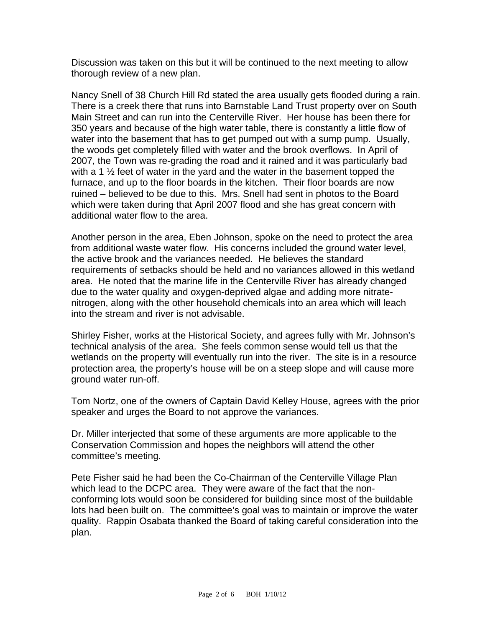Discussion was taken on this but it will be continued to the next meeting to allow thorough review of a new plan.

Nancy Snell of 38 Church Hill Rd stated the area usually gets flooded during a rain. There is a creek there that runs into Barnstable Land Trust property over on South Main Street and can run into the Centerville River. Her house has been there for 350 years and because of the high water table, there is constantly a little flow of water into the basement that has to get pumped out with a sump pump. Usually, the woods get completely filled with water and the brook overflows. In April of 2007, the Town was re-grading the road and it rained and it was particularly bad with a 1  $\frac{1}{2}$  feet of water in the yard and the water in the basement topped the furnace, and up to the floor boards in the kitchen. Their floor boards are now ruined – believed to be due to this. Mrs. Snell had sent in photos to the Board which were taken during that April 2007 flood and she has great concern with additional water flow to the area.

Another person in the area, Eben Johnson, spoke on the need to protect the area from additional waste water flow. His concerns included the ground water level, the active brook and the variances needed. He believes the standard requirements of setbacks should be held and no variances allowed in this wetland area. He noted that the marine life in the Centerville River has already changed due to the water quality and oxygen-deprived algae and adding more nitratenitrogen, along with the other household chemicals into an area which will leach into the stream and river is not advisable.

Shirley Fisher, works at the Historical Society, and agrees fully with Mr. Johnson's technical analysis of the area. She feels common sense would tell us that the wetlands on the property will eventually run into the river. The site is in a resource protection area, the property's house will be on a steep slope and will cause more ground water run-off.

Tom Nortz, one of the owners of Captain David Kelley House, agrees with the prior speaker and urges the Board to not approve the variances.

Dr. Miller interjected that some of these arguments are more applicable to the Conservation Commission and hopes the neighbors will attend the other committee's meeting.

Pete Fisher said he had been the Co-Chairman of the Centerville Village Plan which lead to the DCPC area. They were aware of the fact that the nonconforming lots would soon be considered for building since most of the buildable lots had been built on. The committee's goal was to maintain or improve the water quality. Rappin Osabata thanked the Board of taking careful consideration into the plan.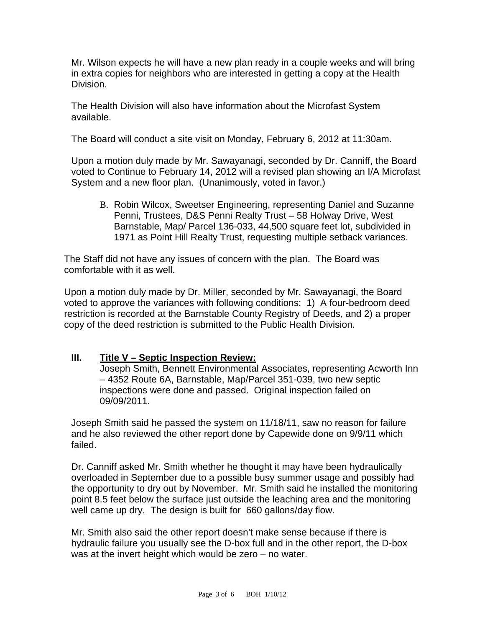Mr. Wilson expects he will have a new plan ready in a couple weeks and will bring in extra copies for neighbors who are interested in getting a copy at the Health Division.

The Health Division will also have information about the Microfast System available.

The Board will conduct a site visit on Monday, February 6, 2012 at 11:30am.

Upon a motion duly made by Mr. Sawayanagi, seconded by Dr. Canniff, the Board voted to Continue to February 14, 2012 will a revised plan showing an I/A Microfast System and a new floor plan. (Unanimously, voted in favor.)

B. Robin Wilcox, Sweetser Engineering, representing Daniel and Suzanne Penni, Trustees, D&S Penni Realty Trust – 58 Holway Drive, West Barnstable, Map/ Parcel 136-033, 44,500 square feet lot, subdivided in 1971 as Point Hill Realty Trust, requesting multiple setback variances.

The Staff did not have any issues of concern with the plan. The Board was comfortable with it as well.

Upon a motion duly made by Dr. Miller, seconded by Mr. Sawayanagi, the Board voted to approve the variances with following conditions: 1) A four-bedroom deed restriction is recorded at the Barnstable County Registry of Deeds, and 2) a proper copy of the deed restriction is submitted to the Public Health Division.

#### **III. Title V – Septic Inspection Review:**

Joseph Smith, Bennett Environmental Associates, representing Acworth Inn – 4352 Route 6A, Barnstable, Map/Parcel 351-039, two new septic inspections were done and passed. Original inspection failed on 09/09/2011.

Joseph Smith said he passed the system on 11/18/11, saw no reason for failure and he also reviewed the other report done by Capewide done on 9/9/11 which failed.

Dr. Canniff asked Mr. Smith whether he thought it may have been hydraulically overloaded in September due to a possible busy summer usage and possibly had the opportunity to dry out by November. Mr. Smith said he installed the monitoring point 8.5 feet below the surface just outside the leaching area and the monitoring well came up dry. The design is built for 660 gallons/day flow.

Mr. Smith also said the other report doesn't make sense because if there is hydraulic failure you usually see the D-box full and in the other report, the D-box was at the invert height which would be zero – no water.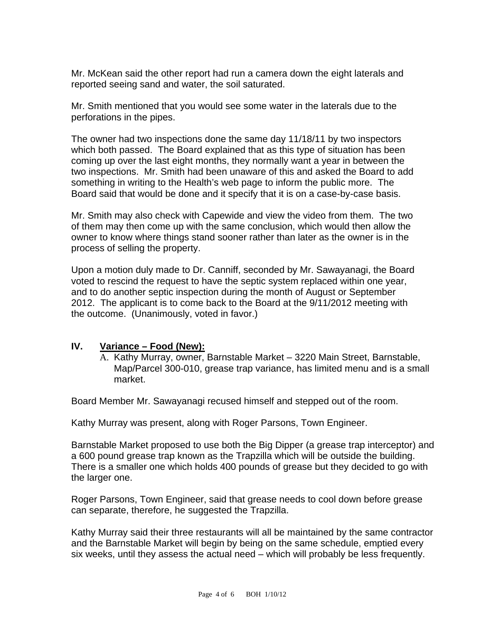Mr. McKean said the other report had run a camera down the eight laterals and reported seeing sand and water, the soil saturated.

Mr. Smith mentioned that you would see some water in the laterals due to the perforations in the pipes.

The owner had two inspections done the same day 11/18/11 by two inspectors which both passed. The Board explained that as this type of situation has been coming up over the last eight months, they normally want a year in between the two inspections. Mr. Smith had been unaware of this and asked the Board to add something in writing to the Health's web page to inform the public more. The Board said that would be done and it specify that it is on a case-by-case basis.

Mr. Smith may also check with Capewide and view the video from them. The two of them may then come up with the same conclusion, which would then allow the owner to know where things stand sooner rather than later as the owner is in the process of selling the property.

Upon a motion duly made to Dr. Canniff, seconded by Mr. Sawayanagi, the Board voted to rescind the request to have the septic system replaced within one year, and to do another septic inspection during the month of August or September 2012. The applicant is to come back to the Board at the 9/11/2012 meeting with the outcome. (Unanimously, voted in favor.)

#### **IV. Variance – Food (New):**

A. Kathy Murray, owner, Barnstable Market – 3220 Main Street, Barnstable, Map/Parcel 300-010, grease trap variance, has limited menu and is a small market.

Board Member Mr. Sawayanagi recused himself and stepped out of the room.

Kathy Murray was present, along with Roger Parsons, Town Engineer.

Barnstable Market proposed to use both the Big Dipper (a grease trap interceptor) and a 600 pound grease trap known as the Trapzilla which will be outside the building. There is a smaller one which holds 400 pounds of grease but they decided to go with the larger one.

Roger Parsons, Town Engineer, said that grease needs to cool down before grease can separate, therefore, he suggested the Trapzilla.

Kathy Murray said their three restaurants will all be maintained by the same contractor and the Barnstable Market will begin by being on the same schedule, emptied every six weeks, until they assess the actual need – which will probably be less frequently.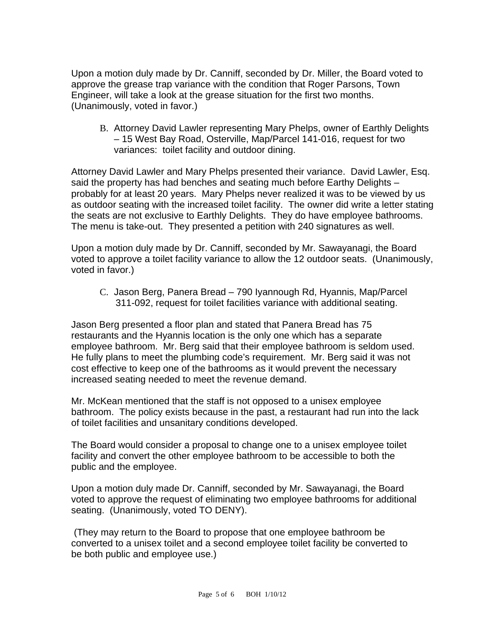Upon a motion duly made by Dr. Canniff, seconded by Dr. Miller, the Board voted to approve the grease trap variance with the condition that Roger Parsons, Town Engineer, will take a look at the grease situation for the first two months. (Unanimously, voted in favor.)

B. Attorney David Lawler representing Mary Phelps, owner of Earthly Delights – 15 West Bay Road, Osterville, Map/Parcel 141-016, request for two variances: toilet facility and outdoor dining.

Attorney David Lawler and Mary Phelps presented their variance. David Lawler, Esq. said the property has had benches and seating much before Earthy Delights – probably for at least 20 years. Mary Phelps never realized it was to be viewed by us as outdoor seating with the increased toilet facility. The owner did write a letter stating the seats are not exclusive to Earthly Delights. They do have employee bathrooms. The menu is take-out. They presented a petition with 240 signatures as well.

Upon a motion duly made by Dr. Canniff, seconded by Mr. Sawayanagi, the Board voted to approve a toilet facility variance to allow the 12 outdoor seats. (Unanimously, voted in favor.)

C. Jason Berg, Panera Bread – 790 Iyannough Rd, Hyannis, Map/Parcel 311-092, request for toilet facilities variance with additional seating.

Jason Berg presented a floor plan and stated that Panera Bread has 75 restaurants and the Hyannis location is the only one which has a separate employee bathroom. Mr. Berg said that their employee bathroom is seldom used. He fully plans to meet the plumbing code's requirement. Mr. Berg said it was not cost effective to keep one of the bathrooms as it would prevent the necessary increased seating needed to meet the revenue demand.

Mr. McKean mentioned that the staff is not opposed to a unisex employee bathroom. The policy exists because in the past, a restaurant had run into the lack of toilet facilities and unsanitary conditions developed.

The Board would consider a proposal to change one to a unisex employee toilet facility and convert the other employee bathroom to be accessible to both the public and the employee.

Upon a motion duly made Dr. Canniff, seconded by Mr. Sawayanagi, the Board voted to approve the request of eliminating two employee bathrooms for additional seating. (Unanimously, voted TO DENY).

 (They may return to the Board to propose that one employee bathroom be converted to a unisex toilet and a second employee toilet facility be converted to be both public and employee use.)